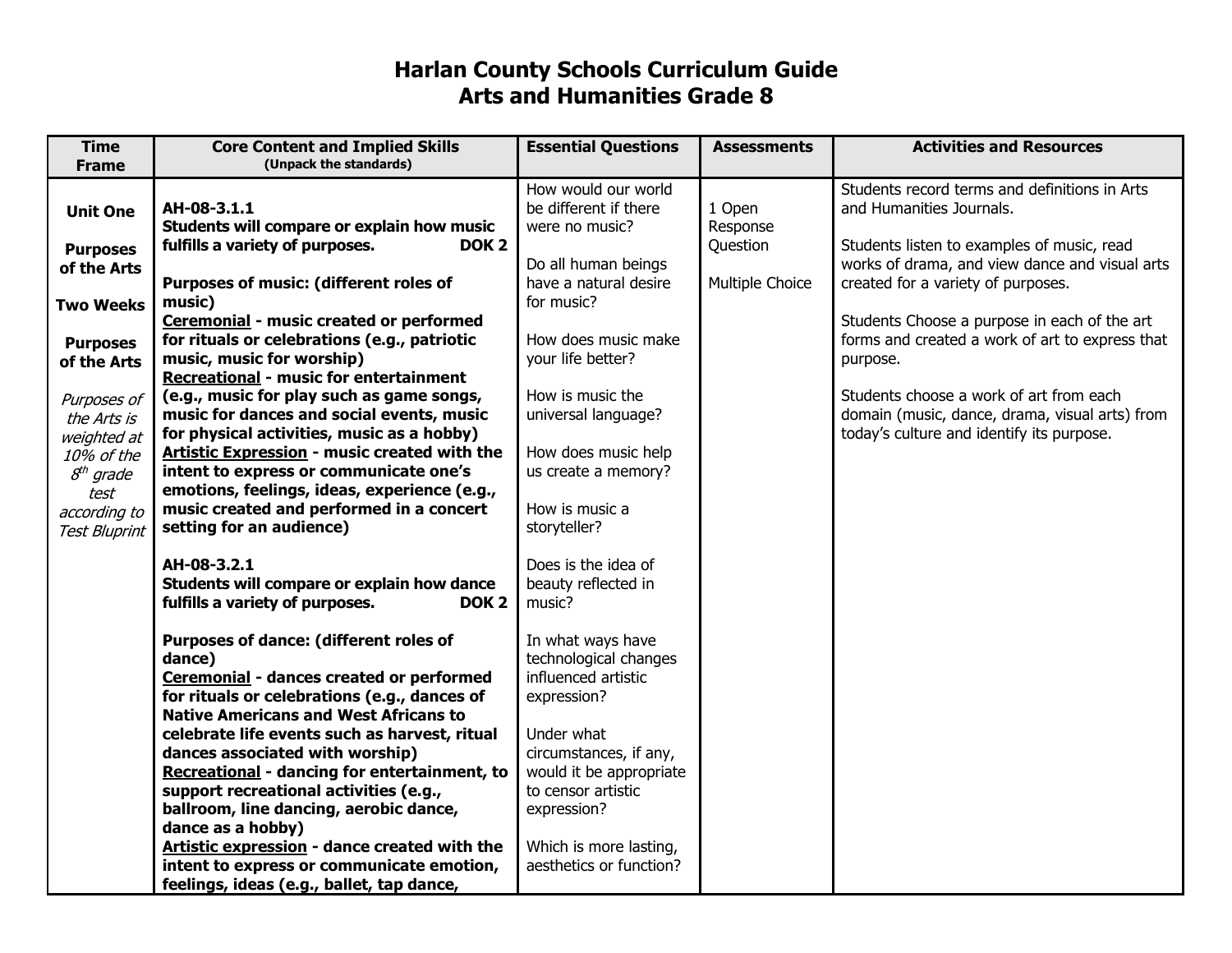## **Harlan County Schools Curriculum Guide Arts and Humanities Grade 8**

| <b>Time</b>          | <b>Core Content and Implied Skills</b><br>(Unpack the standards) | <b>Essential Questions</b> | <b>Assessments</b> | <b>Activities and Resources</b>                 |
|----------------------|------------------------------------------------------------------|----------------------------|--------------------|-------------------------------------------------|
| <b>Frame</b>         |                                                                  |                            |                    |                                                 |
|                      |                                                                  | How would our world        |                    | Students record terms and definitions in Arts   |
| <b>Unit One</b>      | AH-08-3.1.1                                                      | be different if there      | 1 Open             | and Humanities Journals.                        |
|                      | Students will compare or explain how music                       | were no music?             | Response           |                                                 |
| <b>Purposes</b>      | fulfills a variety of purposes.<br>DOK <sub>2</sub>              |                            | Question           | Students listen to examples of music, read      |
| of the Arts          |                                                                  | Do all human beings        |                    | works of drama, and view dance and visual arts  |
|                      | Purposes of music: (different roles of                           | have a natural desire      | Multiple Choice    | created for a variety of purposes.              |
| <b>Two Weeks</b>     | music)                                                           | for music?                 |                    |                                                 |
|                      | <b>Ceremonial - music created or performed</b>                   |                            |                    | Students Choose a purpose in each of the art    |
| <b>Purposes</b>      | for rituals or celebrations (e.g., patriotic                     | How does music make        |                    | forms and created a work of art to express that |
| of the Arts          | music, music for worship)                                        | your life better?          |                    | purpose.                                        |
|                      | <b>Recreational - music for entertainment</b>                    |                            |                    |                                                 |
| Purposes of          | (e.g., music for play such as game songs,                        | How is music the           |                    | Students choose a work of art from each         |
| the Arts is          | music for dances and social events, music                        | universal language?        |                    | domain (music, dance, drama, visual arts) from  |
| weighted at          | for physical activities, music as a hobby)                       |                            |                    | today's culture and identify its purpose.       |
| 10% of the           | Artistic Expression - music created with the                     | How does music help        |                    |                                                 |
| $8th$ grade          | intent to express or communicate one's                           | us create a memory?        |                    |                                                 |
| test                 | emotions, feelings, ideas, experience (e.g.,                     |                            |                    |                                                 |
| according to         | music created and performed in a concert                         | How is music a             |                    |                                                 |
| <b>Test Bluprint</b> | setting for an audience)                                         | storyteller?               |                    |                                                 |
|                      |                                                                  |                            |                    |                                                 |
|                      | AH-08-3.2.1                                                      | Does is the idea of        |                    |                                                 |
|                      | Students will compare or explain how dance                       | beauty reflected in        |                    |                                                 |
|                      | fulfills a variety of purposes.<br>DOK <sub>2</sub>              | music?                     |                    |                                                 |
|                      |                                                                  |                            |                    |                                                 |
|                      | Purposes of dance: (different roles of                           | In what ways have          |                    |                                                 |
|                      | dance)                                                           | technological changes      |                    |                                                 |
|                      | <b>Ceremonial - dances created or performed</b>                  | influenced artistic        |                    |                                                 |
|                      | for rituals or celebrations (e.g., dances of                     | expression?                |                    |                                                 |
|                      | <b>Native Americans and West Africans to</b>                     |                            |                    |                                                 |
|                      | celebrate life events such as harvest, ritual                    | Under what                 |                    |                                                 |
|                      | dances associated with worship)                                  | circumstances, if any,     |                    |                                                 |
|                      | Recreational - dancing for entertainment, to                     | would it be appropriate    |                    |                                                 |
|                      | support recreational activities (e.g.,                           | to censor artistic         |                    |                                                 |
|                      | ballroom, line dancing, aerobic dance,                           | expression?                |                    |                                                 |
|                      | dance as a hobby)                                                |                            |                    |                                                 |
|                      | Artistic expression - dance created with the                     | Which is more lasting,     |                    |                                                 |
|                      | intent to express or communicate emotion,                        | aesthetics or function?    |                    |                                                 |
|                      | feelings, ideas (e.g., ballet, tap dance,                        |                            |                    |                                                 |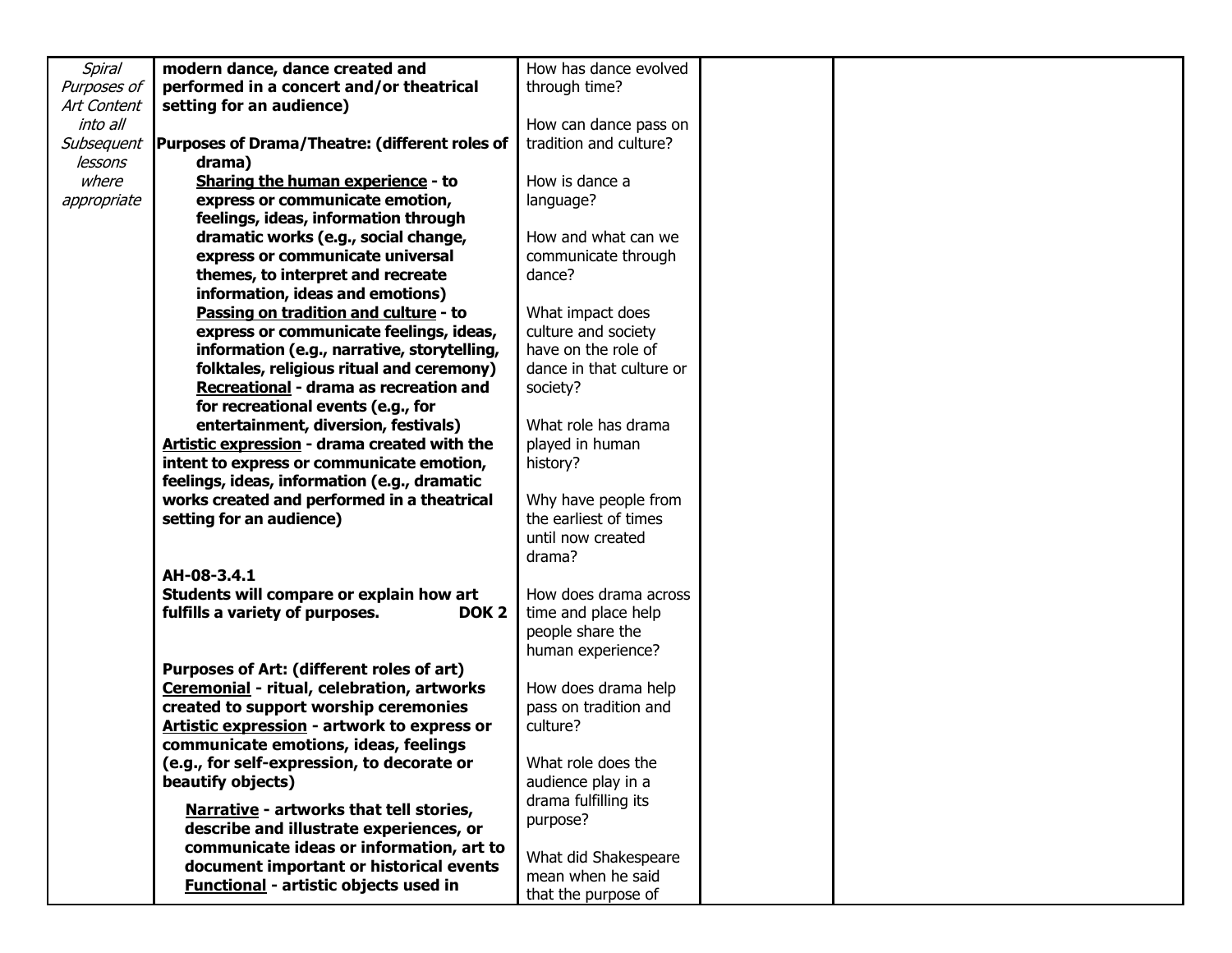| <b>Spiral</b> | modern dance, dance created and                                                     | How has dance evolved                         |  |  |
|---------------|-------------------------------------------------------------------------------------|-----------------------------------------------|--|--|
| Purposes of   | performed in a concert and/or theatrical                                            | through time?                                 |  |  |
| Art Content   | setting for an audience)                                                            |                                               |  |  |
| into all      |                                                                                     | How can dance pass on                         |  |  |
| Subsequent    | Purposes of Drama/Theatre: (different roles of                                      | tradition and culture?                        |  |  |
| lessons       | drama)                                                                              |                                               |  |  |
| where         | Sharing the human experience - to                                                   | How is dance a                                |  |  |
| appropriate   | express or communicate emotion,                                                     | language?                                     |  |  |
|               | feelings, ideas, information through                                                |                                               |  |  |
|               | dramatic works (e.g., social change,                                                | How and what can we                           |  |  |
|               | express or communicate universal                                                    | communicate through                           |  |  |
|               | themes, to interpret and recreate                                                   | dance?                                        |  |  |
|               | information, ideas and emotions)                                                    |                                               |  |  |
|               | Passing on tradition and culture - to                                               | What impact does                              |  |  |
|               | express or communicate feelings, ideas,                                             | culture and society                           |  |  |
|               | information (e.g., narrative, storytelling,                                         | have on the role of                           |  |  |
|               | folktales, religious ritual and ceremony)                                           | dance in that culture or                      |  |  |
|               | Recreational - drama as recreation and                                              | society?                                      |  |  |
|               | for recreational events (e.g., for                                                  |                                               |  |  |
|               | entertainment, diversion, festivals)                                                | What role has drama                           |  |  |
|               | Artistic expression - drama created with the                                        | played in human                               |  |  |
|               | intent to express or communicate emotion,                                           | history?                                      |  |  |
|               | feelings, ideas, information (e.g., dramatic                                        |                                               |  |  |
|               | works created and performed in a theatrical                                         | Why have people from<br>the earliest of times |  |  |
|               | setting for an audience)                                                            | until now created                             |  |  |
|               |                                                                                     | drama?                                        |  |  |
|               | AH-08-3.4.1                                                                         |                                               |  |  |
|               | Students will compare or explain how art                                            | How does drama across                         |  |  |
|               | fulfills a variety of purposes.<br>DOK <sub>2</sub>                                 | time and place help                           |  |  |
|               |                                                                                     | people share the                              |  |  |
|               |                                                                                     | human experience?                             |  |  |
|               | Purposes of Art: (different roles of art)                                           |                                               |  |  |
|               | Ceremonial - ritual, celebration, artworks                                          | How does drama help                           |  |  |
|               | created to support worship ceremonies                                               | pass on tradition and                         |  |  |
|               | Artistic expression - artwork to express or                                         | culture?                                      |  |  |
|               | communicate emotions, ideas, feelings                                               |                                               |  |  |
|               | (e.g., for self-expression, to decorate or                                          | What role does the                            |  |  |
|               | beautify objects)                                                                   | audience play in a                            |  |  |
|               |                                                                                     | drama fulfilling its                          |  |  |
|               | Narrative - artworks that tell stories,                                             | purpose?                                      |  |  |
|               | describe and illustrate experiences, or                                             |                                               |  |  |
|               | communicate ideas or information, art to<br>document important or historical events | What did Shakespeare                          |  |  |
|               | <b>Functional - artistic objects used in</b>                                        | mean when he said                             |  |  |
|               |                                                                                     | that the purpose of                           |  |  |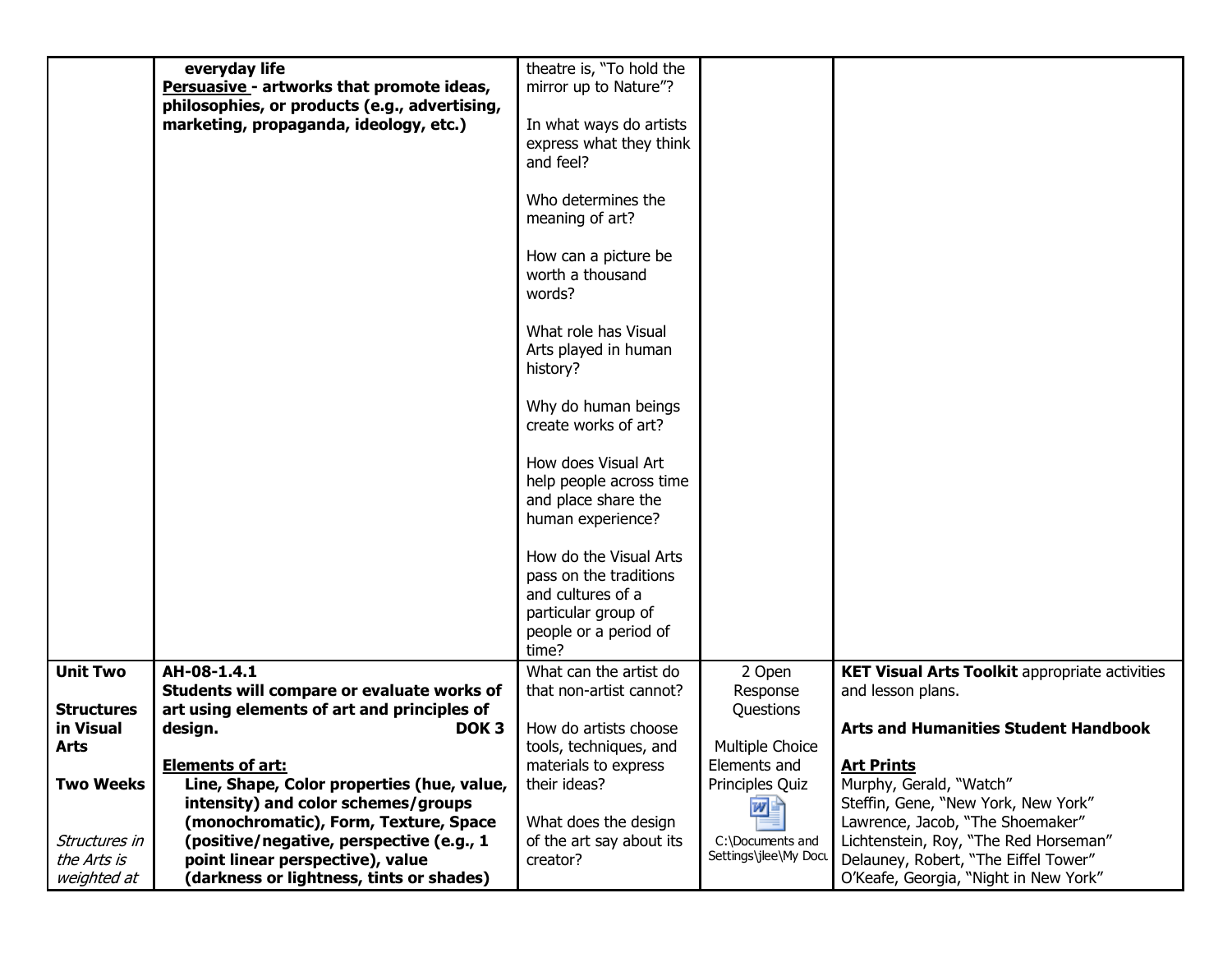|                   | everyday life                                                                           | theatre is, "To hold the                                                                                                       |                                 |                                                       |
|-------------------|-----------------------------------------------------------------------------------------|--------------------------------------------------------------------------------------------------------------------------------|---------------------------------|-------------------------------------------------------|
|                   | Persuasive - artworks that promote ideas,                                               | mirror up to Nature"?                                                                                                          |                                 |                                                       |
|                   | philosophies, or products (e.g., advertising,<br>marketing, propaganda, ideology, etc.) | In what ways do artists<br>express what they think<br>and feel?                                                                |                                 |                                                       |
|                   |                                                                                         | Who determines the<br>meaning of art?                                                                                          |                                 |                                                       |
|                   |                                                                                         | How can a picture be<br>worth a thousand<br>words?                                                                             |                                 |                                                       |
|                   |                                                                                         | What role has Visual<br>Arts played in human<br>history?                                                                       |                                 |                                                       |
|                   |                                                                                         | Why do human beings<br>create works of art?                                                                                    |                                 |                                                       |
|                   |                                                                                         | How does Visual Art<br>help people across time<br>and place share the<br>human experience?                                     |                                 |                                                       |
|                   |                                                                                         | How do the Visual Arts<br>pass on the traditions<br>and cultures of a<br>particular group of<br>people or a period of<br>time? |                                 |                                                       |
| <b>Unit Two</b>   | AH-08-1.4.1                                                                             | What can the artist do                                                                                                         | 2 Open                          | <b>KET Visual Arts Toolkit appropriate activities</b> |
|                   | Students will compare or evaluate works of                                              | that non-artist cannot?                                                                                                        | Response                        | and lesson plans.                                     |
| <b>Structures</b> | art using elements of art and principles of                                             |                                                                                                                                | Questions                       |                                                       |
| in Visual         | DOK <sub>3</sub><br>design.                                                             | How do artists choose                                                                                                          |                                 | <b>Arts and Humanities Student Handbook</b>           |
| <b>Arts</b>       | <b>Elements of art:</b>                                                                 | tools, techniques, and<br>materials to express                                                                                 | Multiple Choice<br>Elements and | <b>Art Prints</b>                                     |
| <b>Two Weeks</b>  | Line, Shape, Color properties (hue, value,                                              | their ideas?                                                                                                                   | Principles Quiz                 | Murphy, Gerald, "Watch"                               |
|                   | intensity) and color schemes/groups                                                     |                                                                                                                                | 四目                              | Steffin, Gene, "New York, New York"                   |
|                   | (monochromatic), Form, Texture, Space                                                   | What does the design                                                                                                           |                                 | Lawrence, Jacob, "The Shoemaker"                      |
| Structures in     | (positive/negative, perspective (e.g., 1)                                               | of the art say about its                                                                                                       | C:\Documents and                | Lichtenstein, Roy, "The Red Horseman"                 |
| the Arts is       | point linear perspective), value                                                        | creator?                                                                                                                       | Settings\jlee\My Docu           | Delauney, Robert, "The Eiffel Tower"                  |
| weighted at       | (darkness or lightness, tints or shades)                                                |                                                                                                                                |                                 | O'Keafe, Georgia, "Night in New York"                 |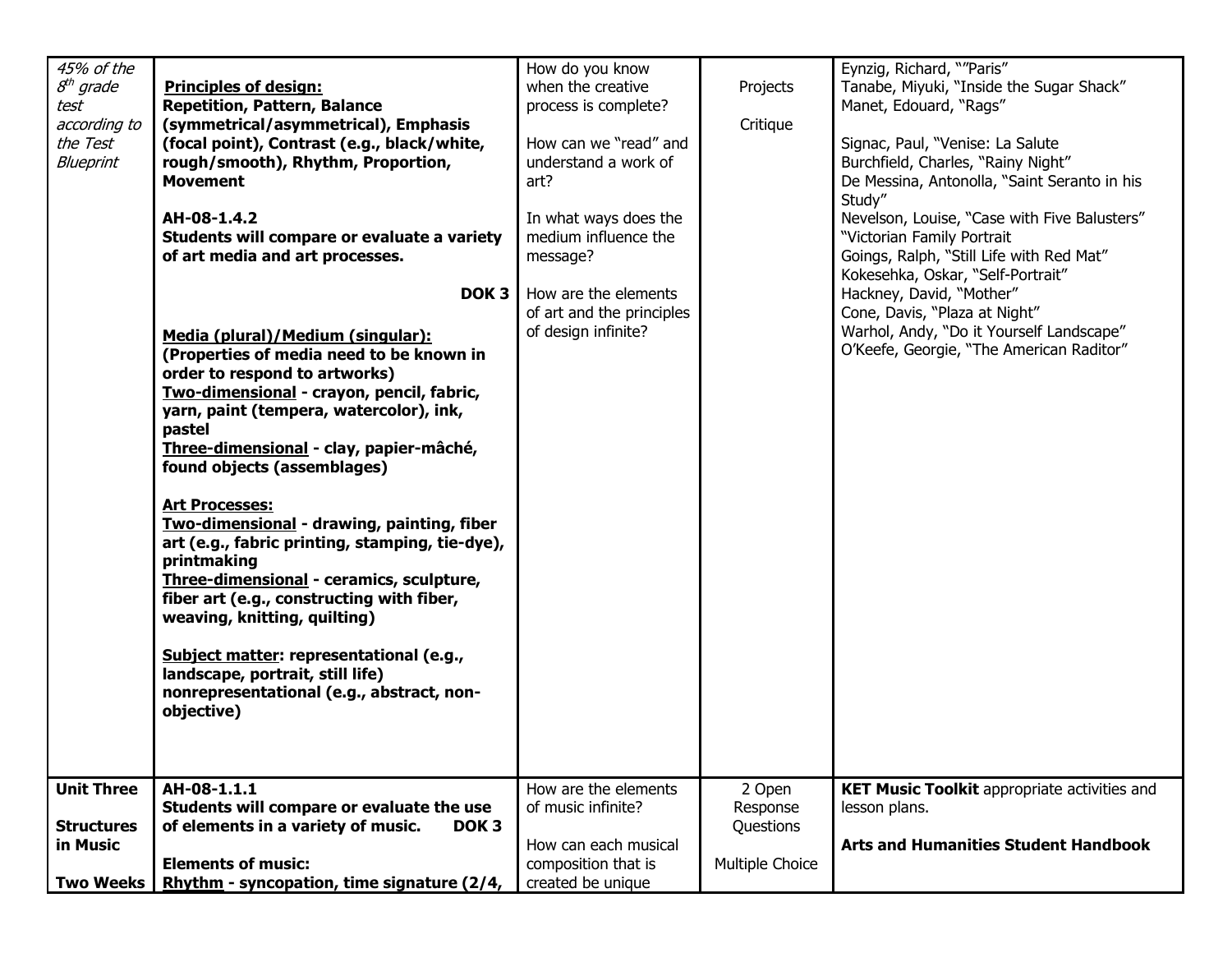| 45% of the<br>$8^{th}$ grade<br>test<br>according to<br>the Test<br>Blueprint | <b>Principles of design:</b><br><b>Repetition, Pattern, Balance</b><br>(symmetrical/asymmetrical), Emphasis<br>(focal point), Contrast (e.g., black/white,<br>rough/smooth), Rhythm, Proportion,<br><b>Movement</b><br>AH-08-1.4.2<br>Students will compare or evaluate a variety<br>of art media and art processes.<br>DOK 3<br>Media (plural)/Medium (singular):<br>(Properties of media need to be known in<br>order to respond to artworks)<br>Two-dimensional - crayon, pencil, fabric,<br>yarn, paint (tempera, watercolor), ink,<br>pastel<br>Three-dimensional - clay, papier-mâché,<br>found objects (assemblages)<br><b>Art Processes:</b><br>Two-dimensional - drawing, painting, fiber<br>art (e.g., fabric printing, stamping, tie-dye),<br>printmaking<br>Three-dimensional - ceramics, sculpture,<br>fiber art (e.g., constructing with fiber,<br>weaving, knitting, quilting)<br>Subject matter: representational (e.g.,<br>landscape, portrait, still life)<br>nonrepresentational (e.g., abstract, non-<br>objective) | How do you know<br>when the creative<br>process is complete?<br>How can we "read" and<br>understand a work of<br>art?<br>In what ways does the<br>medium influence the<br>message?<br>How are the elements<br>of art and the principles<br>of design infinite? | Projects<br>Critique         | Eynzig, Richard, ""Paris"<br>Tanabe, Miyuki, "Inside the Sugar Shack"<br>Manet, Edouard, "Rags"<br>Signac, Paul, "Venise: La Salute<br>Burchfield, Charles, "Rainy Night"<br>De Messina, Antonolla, "Saint Seranto in his<br>Study"<br>Nevelson, Louise, "Case with Five Balusters"<br>"Victorian Family Portrait<br>Goings, Ralph, "Still Life with Red Mat"<br>Kokesehka, Oskar, "Self-Portrait"<br>Hackney, David, "Mother"<br>Cone, Davis, "Plaza at Night"<br>Warhol, Andy, "Do it Yourself Landscape"<br>O'Keefe, Georgie, "The American Raditor" |
|-------------------------------------------------------------------------------|-----------------------------------------------------------------------------------------------------------------------------------------------------------------------------------------------------------------------------------------------------------------------------------------------------------------------------------------------------------------------------------------------------------------------------------------------------------------------------------------------------------------------------------------------------------------------------------------------------------------------------------------------------------------------------------------------------------------------------------------------------------------------------------------------------------------------------------------------------------------------------------------------------------------------------------------------------------------------------------------------------------------------------------------|----------------------------------------------------------------------------------------------------------------------------------------------------------------------------------------------------------------------------------------------------------------|------------------------------|---------------------------------------------------------------------------------------------------------------------------------------------------------------------------------------------------------------------------------------------------------------------------------------------------------------------------------------------------------------------------------------------------------------------------------------------------------------------------------------------------------------------------------------------------------|
| <b>Unit Three</b>                                                             | AH-08-1.1.1<br>Students will compare or evaluate the use                                                                                                                                                                                                                                                                                                                                                                                                                                                                                                                                                                                                                                                                                                                                                                                                                                                                                                                                                                                | How are the elements<br>of music infinite?                                                                                                                                                                                                                     | 2 Open<br>Response           | <b>KET Music Toolkit appropriate activities and</b><br>lesson plans.                                                                                                                                                                                                                                                                                                                                                                                                                                                                                    |
| <b>Structures</b><br>in Music<br><b>Two Weeks</b>                             | of elements in a variety of music.<br>DOK <sub>3</sub><br><b>Elements of music:</b><br>Rhythm - syncopation, time signature (2/4,                                                                                                                                                                                                                                                                                                                                                                                                                                                                                                                                                                                                                                                                                                                                                                                                                                                                                                       | How can each musical<br>composition that is<br>created be unique                                                                                                                                                                                               | Questions<br>Multiple Choice | <b>Arts and Humanities Student Handbook</b>                                                                                                                                                                                                                                                                                                                                                                                                                                                                                                             |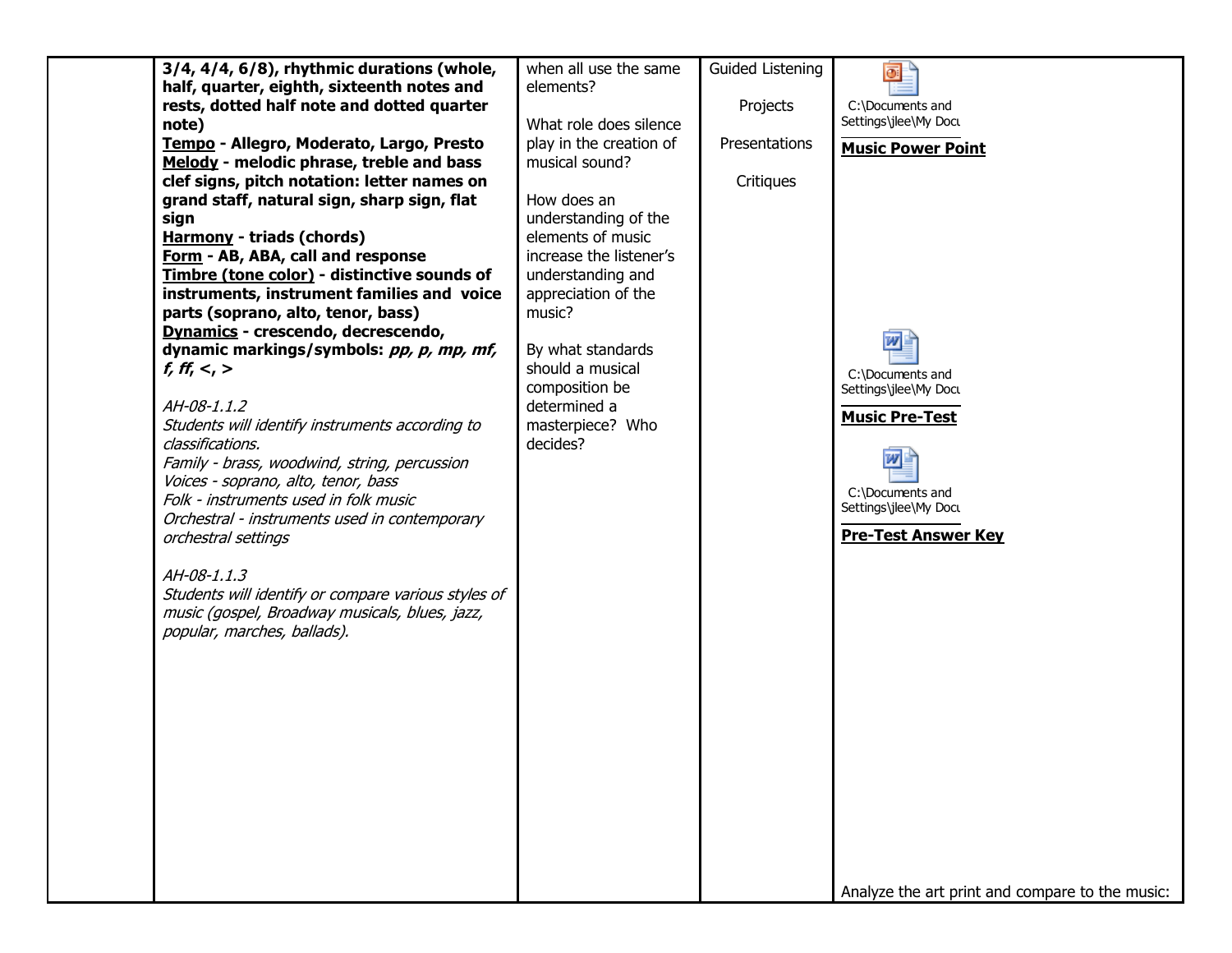| $3/4$ , $4/4$ , $6/8$ ), rhythmic durations (whole, | when all use the same   | <b>Guided Listening</b> | ⊡                                               |
|-----------------------------------------------------|-------------------------|-------------------------|-------------------------------------------------|
| half, quarter, eighth, sixteenth notes and          | elements?               |                         |                                                 |
| rests, dotted half note and dotted quarter          |                         | Projects                | C:\Documents and                                |
| note)                                               | What role does silence  |                         | Settings\jlee\My Docu                           |
| Tempo - Allegro, Moderato, Largo, Presto            | play in the creation of | Presentations           | <b>Music Power Point</b>                        |
| Melody - melodic phrase, treble and bass            | musical sound?          |                         |                                                 |
| clef signs, pitch notation: letter names on         |                         | Critiques               |                                                 |
| grand staff, natural sign, sharp sign, flat         | How does an             |                         |                                                 |
| sign                                                | understanding of the    |                         |                                                 |
| <b>Harmony - triads (chords)</b>                    | elements of music       |                         |                                                 |
| Form - AB, ABA, call and response                   | increase the listener's |                         |                                                 |
| Timbre (tone color) - distinctive sounds of         | understanding and       |                         |                                                 |
| instruments, instrument families and voice          | appreciation of the     |                         |                                                 |
| parts (soprano, alto, tenor, bass)                  | music?                  |                         |                                                 |
| Dynamics - crescendo, decrescendo,                  |                         |                         | w                                               |
| dynamic markings/symbols: pp, p, mp, mf,            | By what standards       |                         |                                                 |
| f, ff, $<$ , $>$                                    | should a musical        |                         | C:\Documents and                                |
|                                                     | composition be          |                         | Settings\jlee\My Docu                           |
| AH-08-1.1.2                                         | determined a            |                         |                                                 |
| Students will identify instruments according to     | masterpiece? Who        |                         | <b>Music Pre-Test</b>                           |
| classifications.                                    | decides?                |                         |                                                 |
| Family - brass, woodwind, string, percussion        |                         |                         |                                                 |
| Voices - soprano, alto, tenor, bass                 |                         |                         | C:\Documents and                                |
| Folk - instruments used in folk music               |                         |                         | Settings\jlee\My Docu                           |
| Orchestral - instruments used in contemporary       |                         |                         |                                                 |
| orchestral settings                                 |                         |                         | <b>Pre-Test Answer Key</b>                      |
|                                                     |                         |                         |                                                 |
| AH-08-1.1.3                                         |                         |                         |                                                 |
| Students will identify or compare various styles of |                         |                         |                                                 |
| music (gospel, Broadway musicals, blues, jazz,      |                         |                         |                                                 |
| popular, marches, ballads).                         |                         |                         |                                                 |
|                                                     |                         |                         |                                                 |
|                                                     |                         |                         |                                                 |
|                                                     |                         |                         |                                                 |
|                                                     |                         |                         |                                                 |
|                                                     |                         |                         |                                                 |
|                                                     |                         |                         |                                                 |
|                                                     |                         |                         |                                                 |
|                                                     |                         |                         |                                                 |
|                                                     |                         |                         |                                                 |
|                                                     |                         |                         |                                                 |
|                                                     |                         |                         |                                                 |
|                                                     |                         |                         |                                                 |
|                                                     |                         |                         |                                                 |
|                                                     |                         |                         | Analyze the art print and compare to the music: |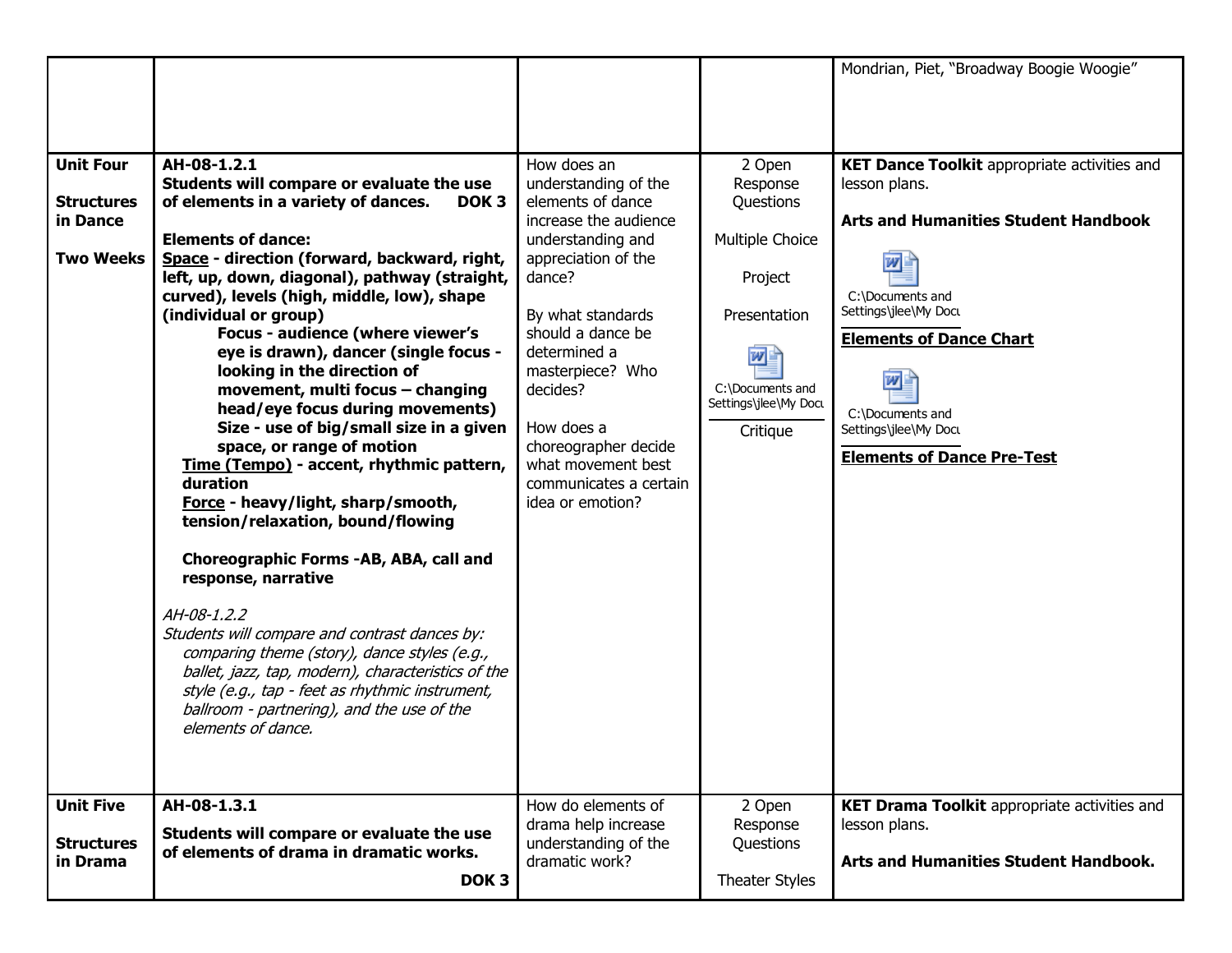|                                                                       |                                                                                                                                                                                                                                                                                                                                                                                                                                                                                                                                                                                                                                                                                                                                                                                                                                                                                                                                                                                                                                                                            |                                                                                                                                                                                                                                                                                                                                             |                                                                                                                                              | Mondrian, Piet, "Broadway Boogie Woogie"                                                                                                                                                                                                                                                  |
|-----------------------------------------------------------------------|----------------------------------------------------------------------------------------------------------------------------------------------------------------------------------------------------------------------------------------------------------------------------------------------------------------------------------------------------------------------------------------------------------------------------------------------------------------------------------------------------------------------------------------------------------------------------------------------------------------------------------------------------------------------------------------------------------------------------------------------------------------------------------------------------------------------------------------------------------------------------------------------------------------------------------------------------------------------------------------------------------------------------------------------------------------------------|---------------------------------------------------------------------------------------------------------------------------------------------------------------------------------------------------------------------------------------------------------------------------------------------------------------------------------------------|----------------------------------------------------------------------------------------------------------------------------------------------|-------------------------------------------------------------------------------------------------------------------------------------------------------------------------------------------------------------------------------------------------------------------------------------------|
| <b>Unit Four</b><br><b>Structures</b><br>in Dance<br><b>Two Weeks</b> | AH-08-1.2.1<br>Students will compare or evaluate the use<br>of elements in a variety of dances.<br>DOK 3<br><b>Elements of dance:</b><br>Space - direction (forward, backward, right,<br>left, up, down, diagonal), pathway (straight,<br>curved), levels (high, middle, low), shape<br>(individual or group)<br>Focus - audience (where viewer's<br>eye is drawn), dancer (single focus -<br>looking in the direction of<br>movement, multi focus - changing<br>head/eye focus during movements)<br>Size - use of big/small size in a given<br>space, or range of motion<br>Time (Tempo) - accent, rhythmic pattern,<br>duration<br>Force - heavy/light, sharp/smooth,<br>tension/relaxation, bound/flowing<br>Choreographic Forms -AB, ABA, call and<br>response, narrative<br>AH-08-1.2.2<br>Students will compare and contrast dances by:<br>comparing theme (story), dance styles (e.g.,<br>ballet, jazz, tap, modern), characteristics of the<br>style (e.g., tap - feet as rhythmic instrument,<br>ballroom - partnering), and the use of the<br>elements of dance. | How does an<br>understanding of the<br>elements of dance<br>increase the audience<br>understanding and<br>appreciation of the<br>dance?<br>By what standards<br>should a dance be<br>determined a<br>masterpiece? Who<br>decides?<br>How does a<br>choreographer decide<br>what movement best<br>communicates a certain<br>idea or emotion? | 2 Open<br>Response<br>Questions<br>Multiple Choice<br>Project<br>Presentation<br>网目<br>C:\Documents and<br>Settings\jlee\My Docu<br>Critique | KET Dance Toolkit appropriate activities and<br>lesson plans.<br><b>Arts and Humanities Student Handbook</b><br> W <br>C:\Documents and<br>Settings\jlee\My Docu<br><b>Elements of Dance Chart</b><br>W<br>C:\Documents and<br>Settings\jlee\My Docu<br><b>Elements of Dance Pre-Test</b> |
| <b>Unit Five</b><br><b>Structures</b><br>in Drama                     | AH-08-1.3.1<br>Students will compare or evaluate the use<br>of elements of drama in dramatic works.<br>DOK <sub>3</sub>                                                                                                                                                                                                                                                                                                                                                                                                                                                                                                                                                                                                                                                                                                                                                                                                                                                                                                                                                    | How do elements of<br>drama help increase<br>understanding of the<br>dramatic work?                                                                                                                                                                                                                                                         | 2 Open<br>Response<br>Questions<br><b>Theater Styles</b>                                                                                     | <b>KET Drama Toolkit</b> appropriate activities and<br>lesson plans.<br>Arts and Humanities Student Handbook.                                                                                                                                                                             |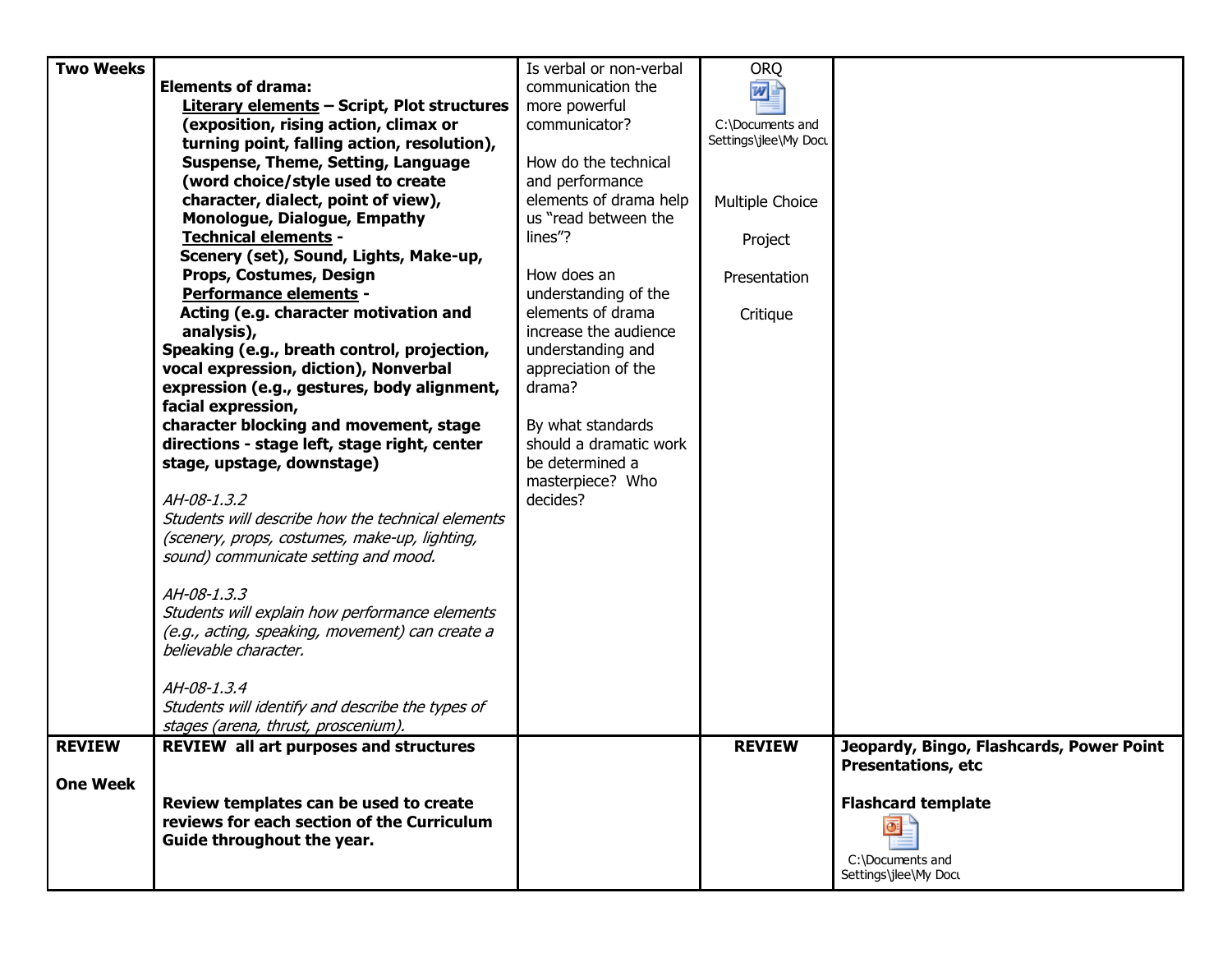| <b>Two Weeks</b> |                                                    | Is verbal or non-verbal | <b>ORQ</b>            |                                          |
|------------------|----------------------------------------------------|-------------------------|-----------------------|------------------------------------------|
|                  | <b>Elements of drama:</b>                          |                         |                       |                                          |
|                  |                                                    | communication the       | 四目                    |                                          |
|                  | <b>Literary elements - Script, Plot structures</b> | more powerful           |                       |                                          |
|                  | (exposition, rising action, climax or              | communicator?           | C:\Documents and      |                                          |
|                  | turning point, falling action, resolution),        |                         | Settings\jlee\My Docu |                                          |
|                  | Suspense, Theme, Setting, Language                 | How do the technical    |                       |                                          |
|                  | (word choice/style used to create                  | and performance         |                       |                                          |
|                  | character, dialect, point of view),                | elements of drama help  | Multiple Choice       |                                          |
|                  | Monologue, Dialogue, Empathy                       | us "read between the    |                       |                                          |
|                  | <b>Technical elements -</b>                        | lines"?                 | Project               |                                          |
|                  | Scenery (set), Sound, Lights, Make-up,             |                         |                       |                                          |
|                  | Props, Costumes, Design                            | How does an             | Presentation          |                                          |
|                  | Performance elements -                             | understanding of the    |                       |                                          |
|                  | Acting (e.g. character motivation and              | elements of drama       | Critique              |                                          |
|                  | analysis),                                         | increase the audience   |                       |                                          |
|                  | Speaking (e.g., breath control, projection,        | understanding and       |                       |                                          |
|                  | vocal expression, diction), Nonverbal              | appreciation of the     |                       |                                          |
|                  | expression (e.g., gestures, body alignment,        | drama?                  |                       |                                          |
|                  | facial expression,                                 |                         |                       |                                          |
|                  | character blocking and movement, stage             | By what standards       |                       |                                          |
|                  | directions - stage left, stage right, center       | should a dramatic work  |                       |                                          |
|                  | stage, upstage, downstage)                         | be determined a         |                       |                                          |
|                  |                                                    | masterpiece? Who        |                       |                                          |
|                  | AH-08-1.3.2                                        | decides?                |                       |                                          |
|                  | Students will describe how the technical elements  |                         |                       |                                          |
|                  | (scenery, props, costumes, make-up, lighting,      |                         |                       |                                          |
|                  | sound) communicate setting and mood.               |                         |                       |                                          |
|                  |                                                    |                         |                       |                                          |
|                  | AH-08-1.3.3                                        |                         |                       |                                          |
|                  | Students will explain how performance elements     |                         |                       |                                          |
|                  | (e.g., acting, speaking, movement) can create a    |                         |                       |                                          |
|                  | believable character.                              |                         |                       |                                          |
|                  |                                                    |                         |                       |                                          |
|                  | AH-08-1.3.4                                        |                         |                       |                                          |
|                  | Students will identify and describe the types of   |                         |                       |                                          |
|                  | stages (arena, thrust, proscenium).                |                         |                       |                                          |
| <b>REVIEW</b>    | <b>REVIEW all art purposes and structures</b>      |                         | <b>REVIEW</b>         | Jeopardy, Bingo, Flashcards, Power Point |
|                  |                                                    |                         |                       | <b>Presentations, etc</b>                |
| <b>One Week</b>  |                                                    |                         |                       |                                          |
|                  | Review templates can be used to create             |                         |                       | <b>Flashcard template</b>                |
|                  | reviews for each section of the Curriculum         |                         |                       | o )                                      |
|                  | Guide throughout the year.                         |                         |                       |                                          |
|                  |                                                    |                         |                       | C:\Documents and                         |
|                  |                                                    |                         |                       | Settings\jlee\My Docu                    |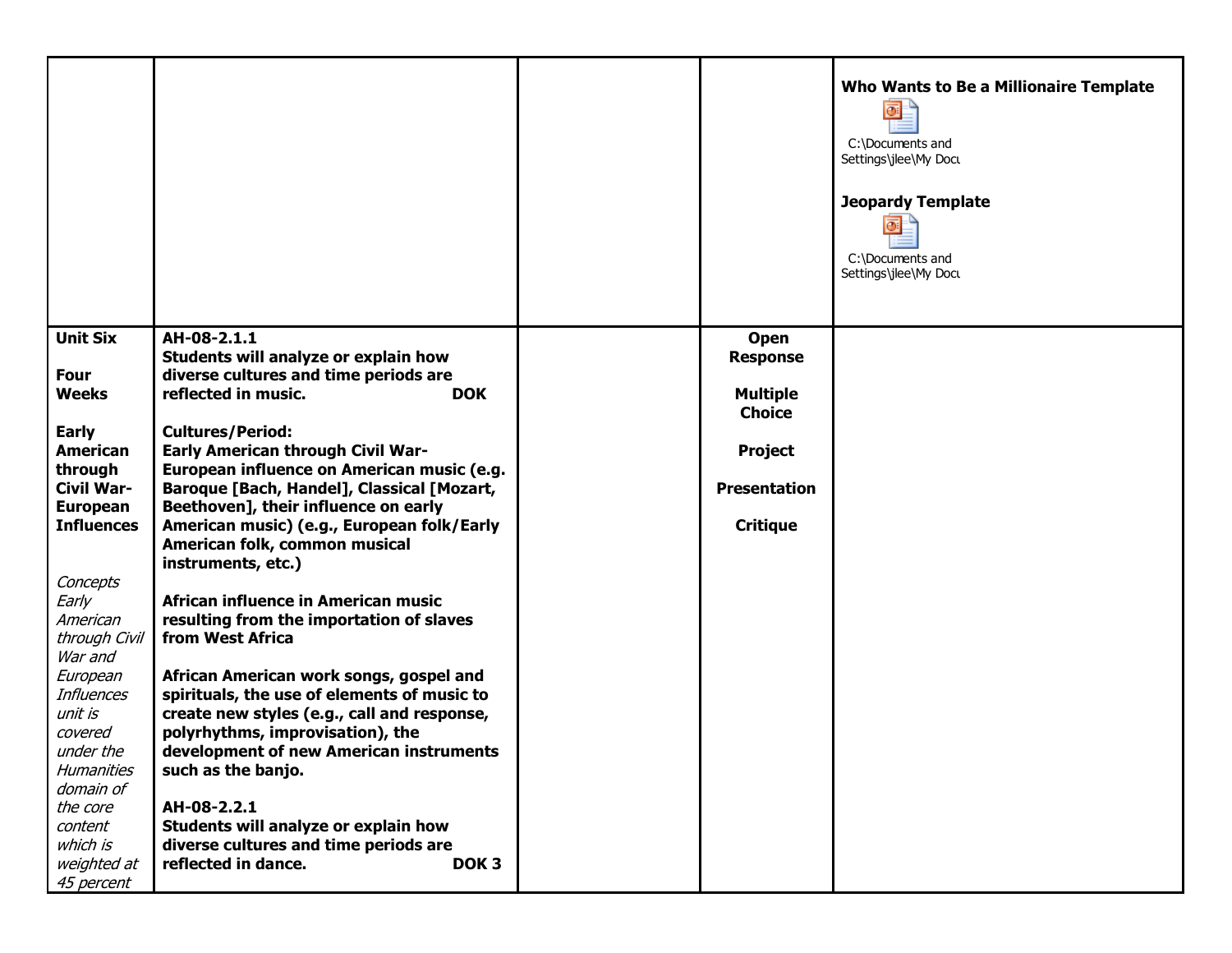|                                      |                                                                                    |                                  | Who Wants to Be a Millionaire Template<br>⊚≧<br>C:\Documents and<br>Settings\jlee\My Docu<br><b>Jeopardy Template</b><br>⊡<br>C:\Documents and<br>Settings\jlee\My Docu |
|--------------------------------------|------------------------------------------------------------------------------------|----------------------------------|-------------------------------------------------------------------------------------------------------------------------------------------------------------------------|
| <b>Unit Six</b>                      | AH-08-2.1.1                                                                        | <b>Open</b>                      |                                                                                                                                                                         |
|                                      | Students will analyze or explain how                                               | <b>Response</b>                  |                                                                                                                                                                         |
| <b>Four</b>                          | diverse cultures and time periods are                                              |                                  |                                                                                                                                                                         |
| <b>Weeks</b>                         | reflected in music.<br><b>DOK</b>                                                  | <b>Multiple</b><br><b>Choice</b> |                                                                                                                                                                         |
| <b>Early</b>                         | <b>Cultures/Period:</b>                                                            |                                  |                                                                                                                                                                         |
| <b>American</b>                      | <b>Early American through Civil War-</b>                                           | <b>Project</b>                   |                                                                                                                                                                         |
| through                              | European influence on American music (e.g.                                         |                                  |                                                                                                                                                                         |
| <b>Civil War-</b>                    | Baroque [Bach, Handel], Classical [Mozart,                                         | <b>Presentation</b>              |                                                                                                                                                                         |
| <b>European</b><br><b>Influences</b> | Beethoven], their influence on early<br>American music) (e.g., European folk/Early | <b>Critique</b>                  |                                                                                                                                                                         |
|                                      | American folk, common musical                                                      |                                  |                                                                                                                                                                         |
|                                      | instruments, etc.)                                                                 |                                  |                                                                                                                                                                         |
| Concepts                             |                                                                                    |                                  |                                                                                                                                                                         |
| Early                                | African influence in American music                                                |                                  |                                                                                                                                                                         |
| American<br>through Civil            | resulting from the importation of slaves<br>from West Africa                       |                                  |                                                                                                                                                                         |
| War and                              |                                                                                    |                                  |                                                                                                                                                                         |
| European                             | African American work songs, gospel and                                            |                                  |                                                                                                                                                                         |
| <b>Influences</b>                    | spirituals, the use of elements of music to                                        |                                  |                                                                                                                                                                         |
| unit is                              | create new styles (e.g., call and response,                                        |                                  |                                                                                                                                                                         |
| covered                              | polyrhythms, improvisation), the                                                   |                                  |                                                                                                                                                                         |
| under the<br>Humanities              | development of new American instruments<br>such as the banjo.                      |                                  |                                                                                                                                                                         |
| domain of                            |                                                                                    |                                  |                                                                                                                                                                         |
| the core                             | AH-08-2.2.1                                                                        |                                  |                                                                                                                                                                         |
| content                              | Students will analyze or explain how                                               |                                  |                                                                                                                                                                         |
| which is                             | diverse cultures and time periods are                                              |                                  |                                                                                                                                                                         |
| weighted at                          | reflected in dance.<br>DOK <sub>3</sub>                                            |                                  |                                                                                                                                                                         |
| 45 percent                           |                                                                                    |                                  |                                                                                                                                                                         |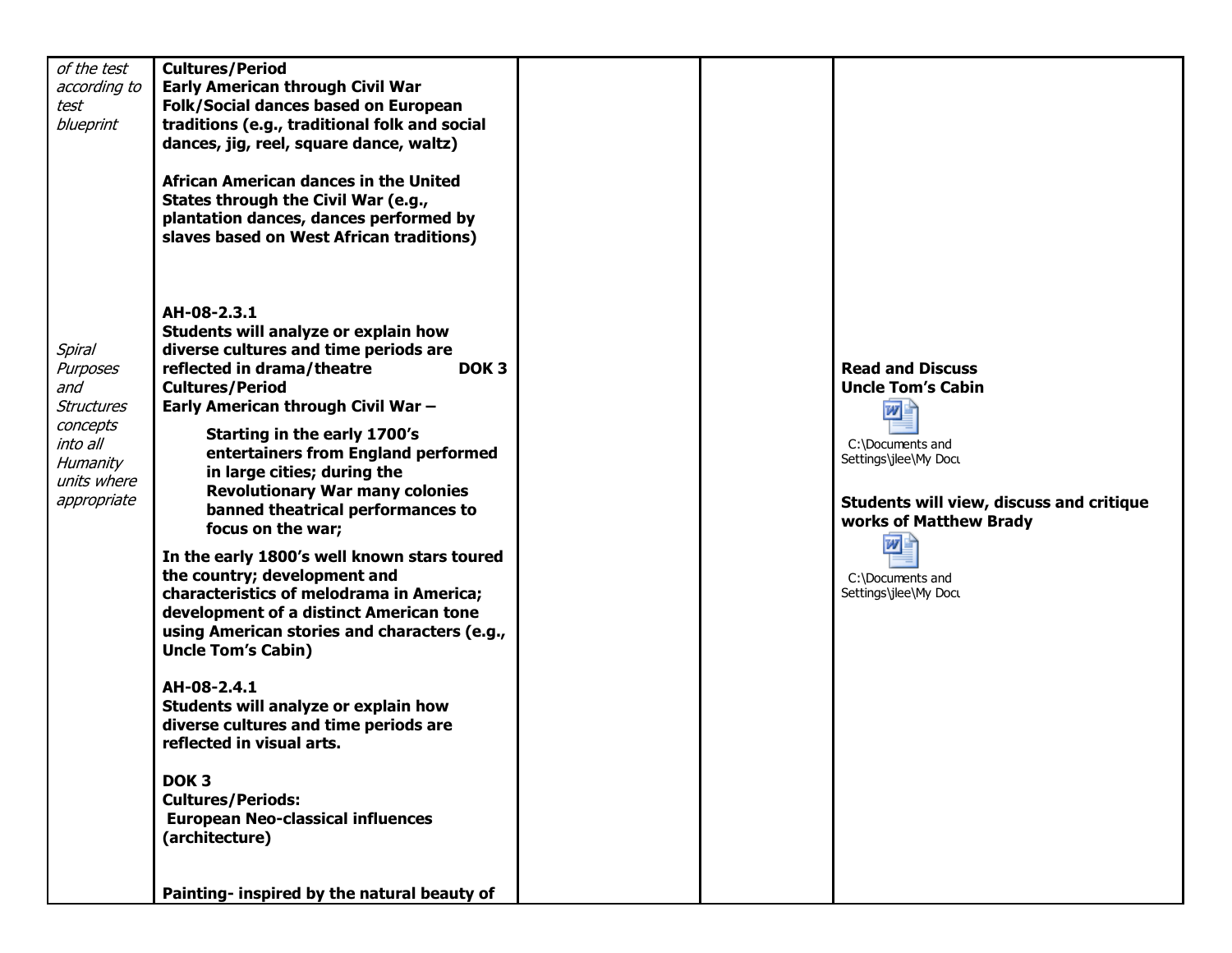| of the test<br>according to                                                                                      | <b>Cultures/Period</b><br><b>Early American through Civil War</b>                                                                                                                                                                                                                                                                                                                                                                                                                                                                                                                                                                                                                                                                                                                                                                                                                                                                                                     |  |                                                                                                                                                                                                                               |
|------------------------------------------------------------------------------------------------------------------|-----------------------------------------------------------------------------------------------------------------------------------------------------------------------------------------------------------------------------------------------------------------------------------------------------------------------------------------------------------------------------------------------------------------------------------------------------------------------------------------------------------------------------------------------------------------------------------------------------------------------------------------------------------------------------------------------------------------------------------------------------------------------------------------------------------------------------------------------------------------------------------------------------------------------------------------------------------------------|--|-------------------------------------------------------------------------------------------------------------------------------------------------------------------------------------------------------------------------------|
| test<br>blueprint                                                                                                | Folk/Social dances based on European<br>traditions (e.g., traditional folk and social<br>dances, jig, reel, square dance, waltz)<br><b>African American dances in the United</b><br>States through the Civil War (e.g.,<br>plantation dances, dances performed by<br>slaves based on West African traditions)                                                                                                                                                                                                                                                                                                                                                                                                                                                                                                                                                                                                                                                         |  |                                                                                                                                                                                                                               |
| Spiral<br>Purposes<br>and<br><b>Structures</b><br>concepts<br>into all<br>Humanity<br>units where<br>appropriate | AH-08-2.3.1<br>Students will analyze or explain how<br>diverse cultures and time periods are<br>reflected in drama/theatre<br>DOK <sub>3</sub><br><b>Cultures/Period</b><br>Early American through Civil War -<br>Starting in the early 1700's<br>entertainers from England performed<br>in large cities; during the<br><b>Revolutionary War many colonies</b><br>banned theatrical performances to<br>focus on the war;<br>In the early 1800's well known stars toured<br>the country; development and<br>characteristics of melodrama in America;<br>development of a distinct American tone<br>using American stories and characters (e.g.,<br><b>Uncle Tom's Cabin)</b><br>AH-08-2.4.1<br>Students will analyze or explain how<br>diverse cultures and time periods are<br>reflected in visual arts.<br>DOK <sub>3</sub><br><b>Cultures/Periods:</b><br><b>European Neo-classical influences</b><br>(architecture)<br>Painting- inspired by the natural beauty of |  | <b>Read and Discuss</b><br><b>Uncle Tom's Cabin</b><br>W<br>C:\Documents and<br>Settings\jlee\My Docu<br>Students will view, discuss and critique<br>works of Matthew Brady<br>w<br>C:\Documents and<br>Settings\jlee\My Docu |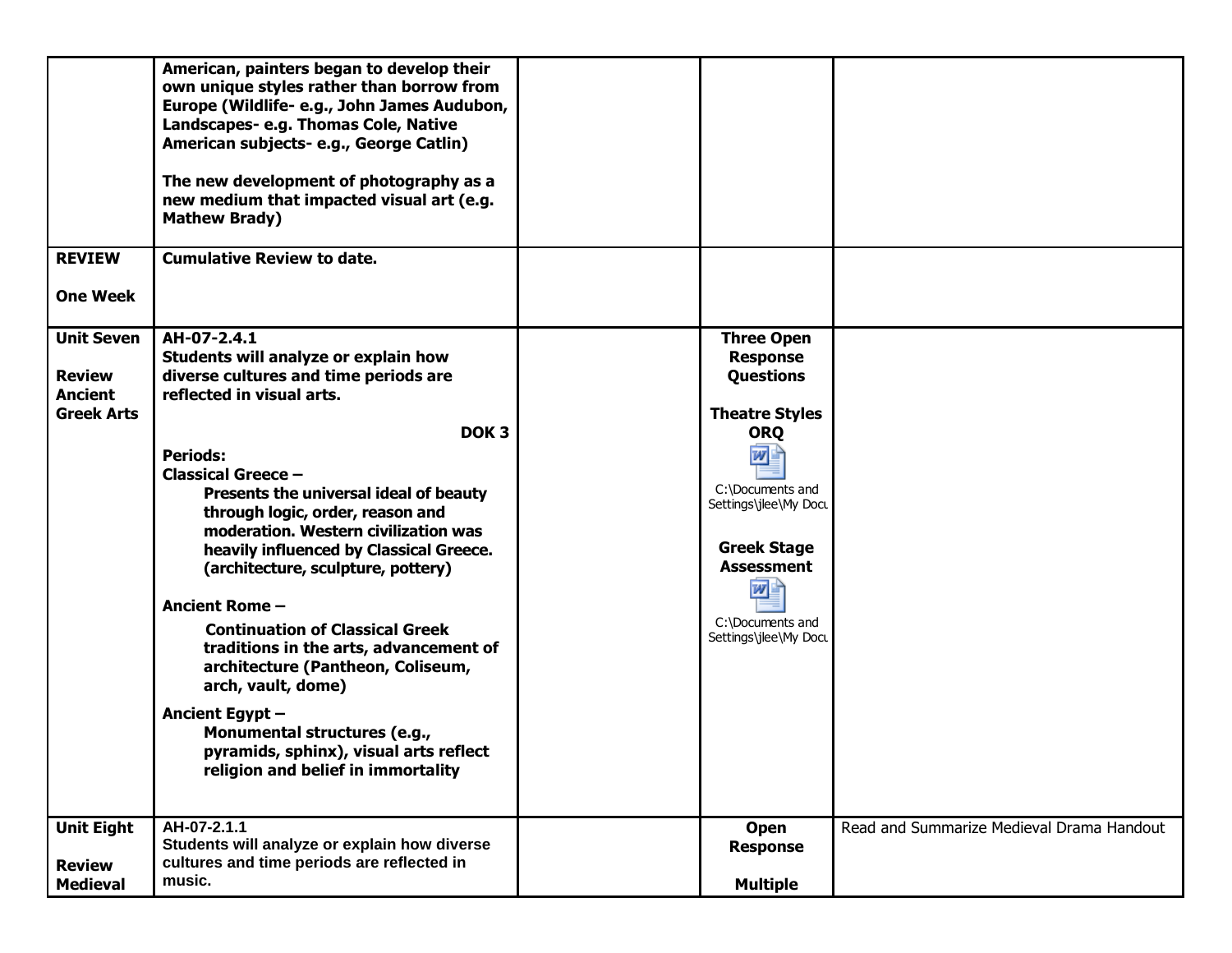| <b>REVIEW</b>                                                             | American, painters began to develop their<br>own unique styles rather than borrow from<br>Europe (Wildlife- e.g., John James Audubon,<br>Landscapes- e.g. Thomas Cole, Native<br>American subjects- e.g., George Catlin)<br>The new development of photography as a<br>new medium that impacted visual art (e.g.<br><b>Mathew Brady)</b><br><b>Cumulative Review to date.</b>                                                                                                                                                                                                                                                                                                                                   |                                                                                                                                                                                                                                                  |                                           |
|---------------------------------------------------------------------------|-----------------------------------------------------------------------------------------------------------------------------------------------------------------------------------------------------------------------------------------------------------------------------------------------------------------------------------------------------------------------------------------------------------------------------------------------------------------------------------------------------------------------------------------------------------------------------------------------------------------------------------------------------------------------------------------------------------------|--------------------------------------------------------------------------------------------------------------------------------------------------------------------------------------------------------------------------------------------------|-------------------------------------------|
| <b>One Week</b>                                                           |                                                                                                                                                                                                                                                                                                                                                                                                                                                                                                                                                                                                                                                                                                                 |                                                                                                                                                                                                                                                  |                                           |
| <b>Unit Seven</b><br><b>Review</b><br><b>Ancient</b><br><b>Greek Arts</b> | AH-07-2.4.1<br>Students will analyze or explain how<br>diverse cultures and time periods are<br>reflected in visual arts.<br>DOK <sub>3</sub><br><b>Periods:</b><br><b>Classical Greece -</b><br>Presents the universal ideal of beauty<br>through logic, order, reason and<br>moderation. Western civilization was<br>heavily influenced by Classical Greece.<br>(architecture, sculpture, pottery)<br><b>Ancient Rome -</b><br><b>Continuation of Classical Greek</b><br>traditions in the arts, advancement of<br>architecture (Pantheon, Coliseum,<br>arch, vault, dome)<br>Ancient Egypt -<br>Monumental structures (e.g.,<br>pyramids, sphinx), visual arts reflect<br>religion and belief in immortality | <b>Three Open</b><br><b>Response</b><br><b>Questions</b><br><b>Theatre Styles</b><br><b>ORQ</b><br>W<br>C:\Documents and<br>Settings\jlee\My Docu<br><b>Greek Stage</b><br><b>Assessment</b><br> W <br>C:\Documents and<br>Settings\jlee\My Docu |                                           |
| <b>Unit Eight</b><br><b>Review</b><br><b>Medieval</b>                     | AH-07-2.1.1<br>Students will analyze or explain how diverse<br>cultures and time periods are reflected in<br>music.                                                                                                                                                                                                                                                                                                                                                                                                                                                                                                                                                                                             | <b>Open</b><br><b>Response</b><br><b>Multiple</b>                                                                                                                                                                                                | Read and Summarize Medieval Drama Handout |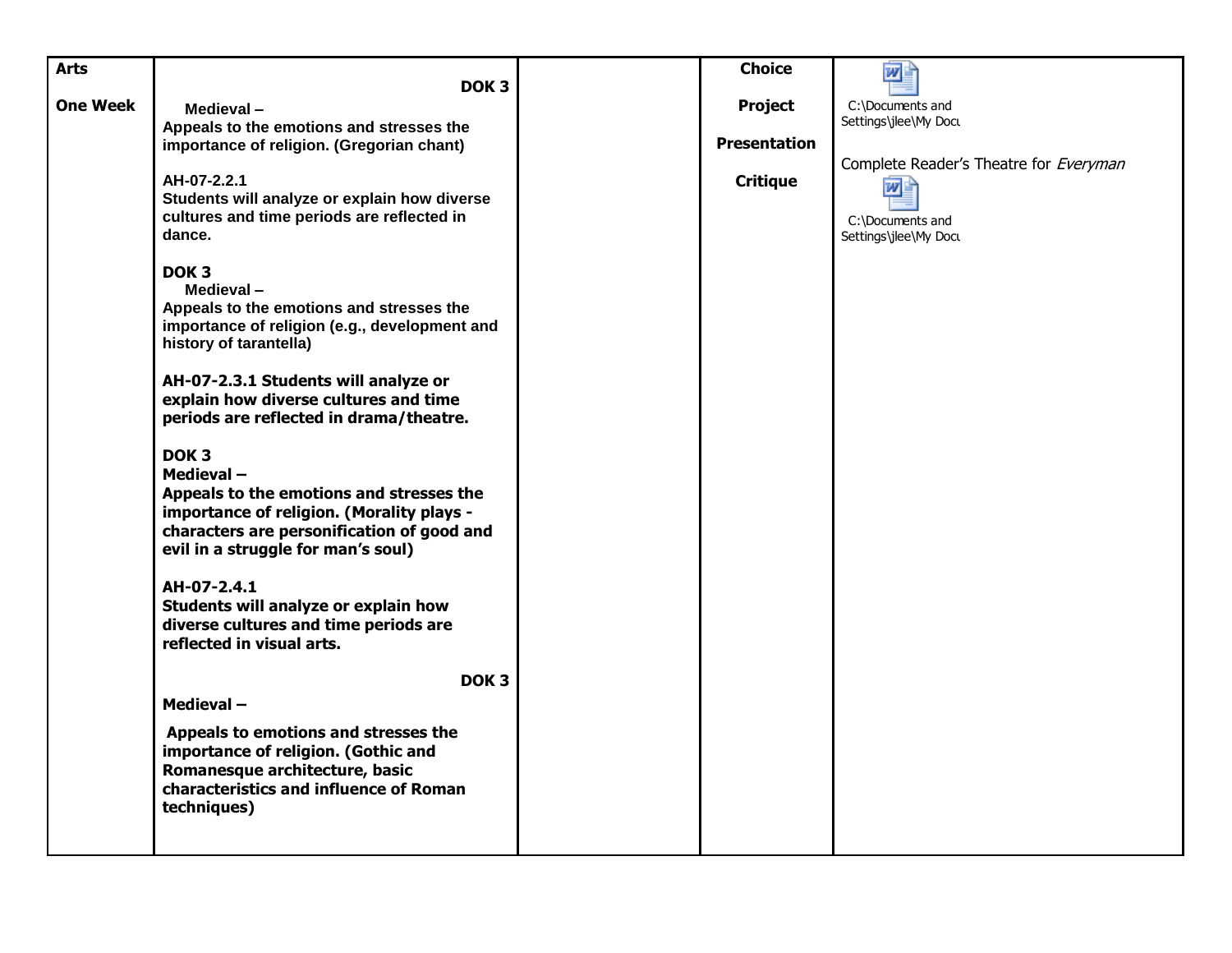| <b>Arts</b>     |                                                                                                                                                                                                                                                                                                                                                                                                                                                                                                                                                                                                                                                                                                                                                                                                | <b>Choice</b>       | 网目                                                                                           |  |
|-----------------|------------------------------------------------------------------------------------------------------------------------------------------------------------------------------------------------------------------------------------------------------------------------------------------------------------------------------------------------------------------------------------------------------------------------------------------------------------------------------------------------------------------------------------------------------------------------------------------------------------------------------------------------------------------------------------------------------------------------------------------------------------------------------------------------|---------------------|----------------------------------------------------------------------------------------------|--|
| <b>One Week</b> | DOK <sub>3</sub>                                                                                                                                                                                                                                                                                                                                                                                                                                                                                                                                                                                                                                                                                                                                                                               |                     |                                                                                              |  |
|                 | Medieval-                                                                                                                                                                                                                                                                                                                                                                                                                                                                                                                                                                                                                                                                                                                                                                                      | <b>Project</b>      | C:\Documents and<br>Settings\jlee\My Docu                                                    |  |
|                 | importance of religion. (Gregorian chant)                                                                                                                                                                                                                                                                                                                                                                                                                                                                                                                                                                                                                                                                                                                                                      | <b>Presentation</b> |                                                                                              |  |
|                 | Appeals to the emotions and stresses the<br>AH-07-2.2.1<br>Students will analyze or explain how diverse<br>cultures and time periods are reflected in<br>dance.<br>DOK <sub>3</sub><br>Medieval-<br>Appeals to the emotions and stresses the<br>importance of religion (e.g., development and<br>history of tarantella)<br>AH-07-2.3.1 Students will analyze or<br>explain how diverse cultures and time<br>periods are reflected in drama/theatre.<br>DOK <sub>3</sub><br>Medieval-<br>Appeals to the emotions and stresses the<br>importance of religion. (Morality plays -<br>characters are personification of good and<br>evil in a struggle for man's soul)<br>AH-07-2.4.1<br>Students will analyze or explain how<br>diverse cultures and time periods are<br>reflected in visual arts. | <b>Critique</b>     | Complete Reader's Theatre for Everyman<br>$W =$<br>C:\Documents and<br>Settings\jlee\My Docu |  |
|                 | DOK <sub>3</sub><br>Medieval-                                                                                                                                                                                                                                                                                                                                                                                                                                                                                                                                                                                                                                                                                                                                                                  |                     |                                                                                              |  |
|                 | Appeals to emotions and stresses the<br>importance of religion. (Gothic and<br>Romanesque architecture, basic<br>characteristics and influence of Roman<br>techniques)                                                                                                                                                                                                                                                                                                                                                                                                                                                                                                                                                                                                                         |                     |                                                                                              |  |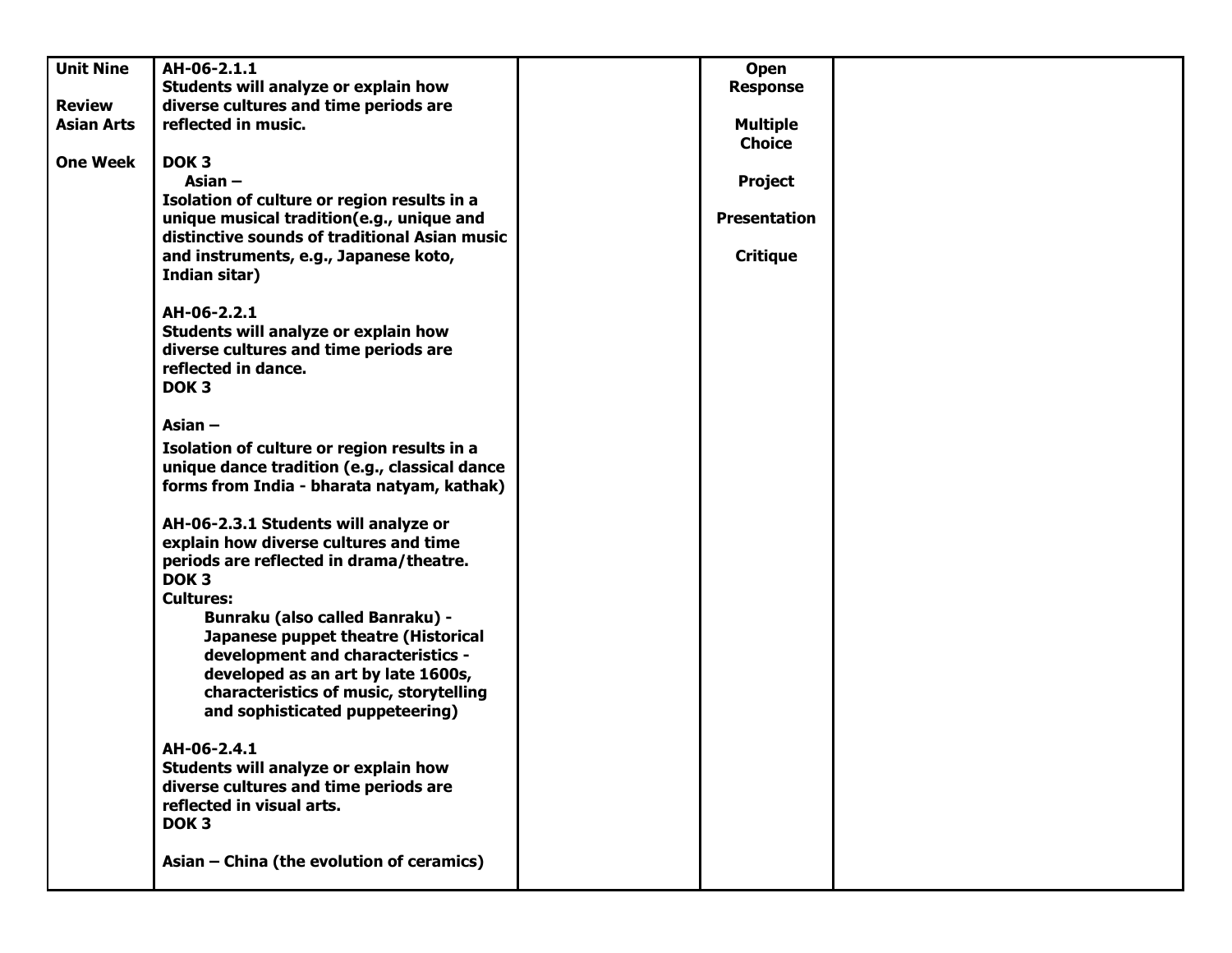| <b>Unit Nine</b>  | AH-06-2.1.1                                   | Open                |  |
|-------------------|-----------------------------------------------|---------------------|--|
|                   | Students will analyze or explain how          | <b>Response</b>     |  |
| <b>Review</b>     | diverse cultures and time periods are         |                     |  |
|                   |                                               |                     |  |
| <b>Asian Arts</b> | reflected in music.                           | <b>Multiple</b>     |  |
|                   |                                               | <b>Choice</b>       |  |
| <b>One Week</b>   | DOK <sub>3</sub>                              |                     |  |
|                   | Asian $-$                                     | Project             |  |
|                   | Isolation of culture or region results in a   |                     |  |
|                   | unique musical tradition(e.g., unique and     | <b>Presentation</b> |  |
|                   |                                               |                     |  |
|                   | distinctive sounds of traditional Asian music |                     |  |
|                   | and instruments, e.g., Japanese koto,         | <b>Critique</b>     |  |
|                   | Indian sitar)                                 |                     |  |
|                   |                                               |                     |  |
|                   | AH-06-2.2.1                                   |                     |  |
|                   |                                               |                     |  |
|                   | Students will analyze or explain how          |                     |  |
|                   | diverse cultures and time periods are         |                     |  |
|                   | reflected in dance.                           |                     |  |
|                   | DOK <sub>3</sub>                              |                     |  |
|                   |                                               |                     |  |
|                   | Asian $-$                                     |                     |  |
|                   | Isolation of culture or region results in a   |                     |  |
|                   |                                               |                     |  |
|                   | unique dance tradition (e.g., classical dance |                     |  |
|                   | forms from India - bharata natyam, kathak)    |                     |  |
|                   | AH-06-2.3.1 Students will analyze or          |                     |  |
|                   |                                               |                     |  |
|                   | explain how diverse cultures and time         |                     |  |
|                   | periods are reflected in drama/theatre.       |                     |  |
|                   | DOK <sub>3</sub>                              |                     |  |
|                   | <b>Cultures:</b>                              |                     |  |
|                   | <b>Bunraku (also called Banraku) -</b>        |                     |  |
|                   | Japanese puppet theatre (Historical           |                     |  |
|                   |                                               |                     |  |
|                   | development and characteristics -             |                     |  |
|                   | developed as an art by late 1600s,            |                     |  |
|                   | characteristics of music, storytelling        |                     |  |
|                   | and sophisticated puppeteering)               |                     |  |
|                   |                                               |                     |  |
|                   | AH-06-2.4.1                                   |                     |  |
|                   | Students will analyze or explain how          |                     |  |
|                   | diverse cultures and time periods are         |                     |  |
|                   | reflected in visual arts.                     |                     |  |
|                   |                                               |                     |  |
|                   | DOK <sub>3</sub>                              |                     |  |
|                   |                                               |                     |  |
|                   | Asian - China (the evolution of ceramics)     |                     |  |
|                   |                                               |                     |  |
|                   |                                               |                     |  |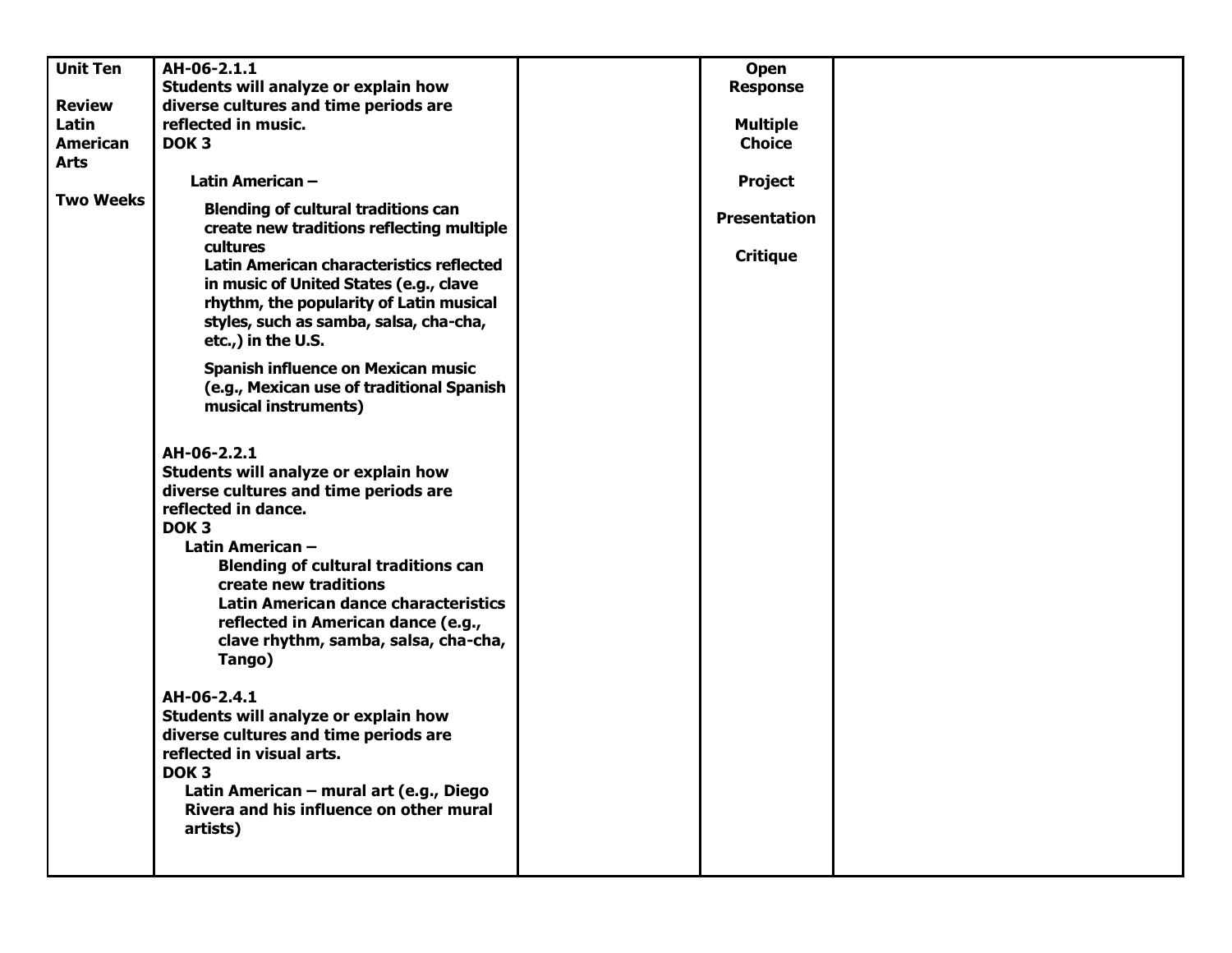| <b>Unit Ten</b>  | AH-06-2.1.1                                           | <b>Open</b>         |  |
|------------------|-------------------------------------------------------|---------------------|--|
|                  | Students will analyze or explain how                  | <b>Response</b>     |  |
| <b>Review</b>    | diverse cultures and time periods are                 |                     |  |
| Latin            | reflected in music.                                   | <b>Multiple</b>     |  |
| American         | DOK <sub>3</sub>                                      | <b>Choice</b>       |  |
|                  |                                                       |                     |  |
| <b>Arts</b>      | Latin American -                                      | <b>Project</b>      |  |
| <b>Two Weeks</b> |                                                       |                     |  |
|                  | <b>Blending of cultural traditions can</b>            | <b>Presentation</b> |  |
|                  | create new traditions reflecting multiple<br>cultures |                     |  |
|                  | Latin American characteristics reflected              | <b>Critique</b>     |  |
|                  |                                                       |                     |  |
|                  | in music of United States (e.g., clave                |                     |  |
|                  | rhythm, the popularity of Latin musical               |                     |  |
|                  | styles, such as samba, salsa, cha-cha,                |                     |  |
|                  | etc.,) in the U.S.                                    |                     |  |
|                  | <b>Spanish influence on Mexican music</b>             |                     |  |
|                  | (e.g., Mexican use of traditional Spanish             |                     |  |
|                  | musical instruments)                                  |                     |  |
|                  |                                                       |                     |  |
|                  | AH-06-2.2.1                                           |                     |  |
|                  | Students will analyze or explain how                  |                     |  |
|                  | diverse cultures and time periods are                 |                     |  |
|                  |                                                       |                     |  |
|                  | reflected in dance.                                   |                     |  |
|                  | DOK <sub>3</sub>                                      |                     |  |
|                  | Latin American -                                      |                     |  |
|                  | <b>Blending of cultural traditions can</b>            |                     |  |
|                  | create new traditions                                 |                     |  |
|                  | Latin American dance characteristics                  |                     |  |
|                  | reflected in American dance (e.g.,                    |                     |  |
|                  | clave rhythm, samba, salsa, cha-cha,                  |                     |  |
|                  | Tango)                                                |                     |  |
|                  |                                                       |                     |  |
|                  | AH-06-2.4.1                                           |                     |  |
|                  | Students will analyze or explain how                  |                     |  |
|                  | diverse cultures and time periods are                 |                     |  |
|                  | reflected in visual arts.                             |                     |  |
|                  | DOK <sub>3</sub>                                      |                     |  |
|                  | Latin American - mural art (e.g., Diego               |                     |  |
|                  | Rivera and his influence on other mural               |                     |  |
|                  | artists)                                              |                     |  |
|                  |                                                       |                     |  |
|                  |                                                       |                     |  |